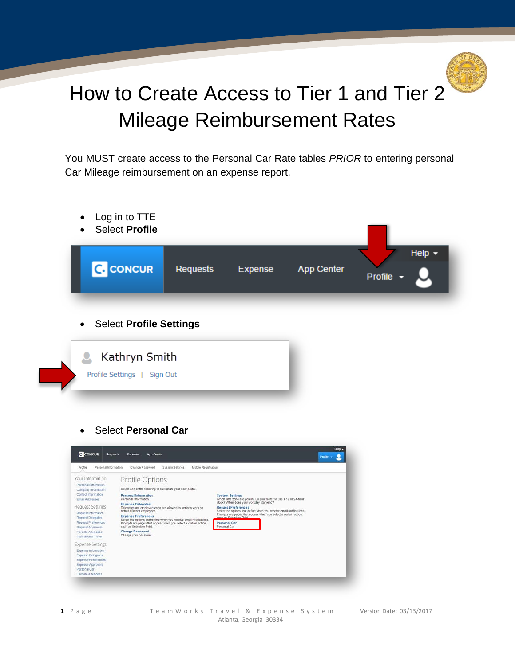

## How to Create Access to Tier 1 and Tier 2 Mileage Reimbursement Rates

You MUST create access to the Personal Car Rate tables *PRIOR* to entering personal Car Mileage reimbursement on an expense report.

- Log in to TTE
- Select **Profile**



• Select **Profile Settings**



• Select **Personal Car**

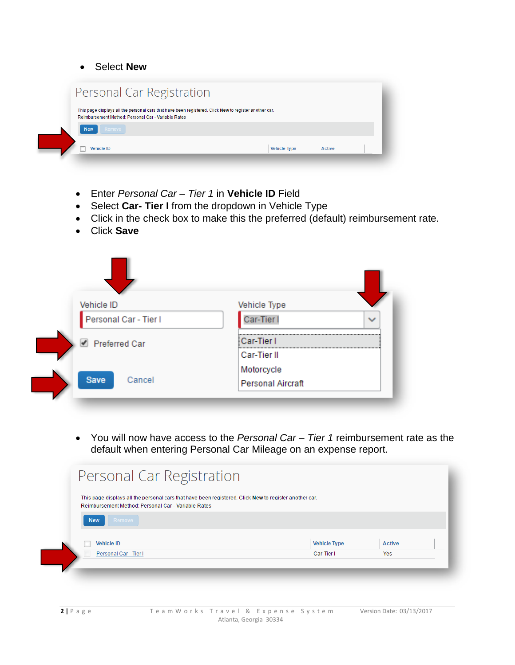• Select **New**

| Personal Car Registration                                                                                                                                     |                     |               |
|---------------------------------------------------------------------------------------------------------------------------------------------------------------|---------------------|---------------|
| This page displays all the personal cars that have been registered. Click New to register another car.<br>Reimbursement Method: Personal Car - Variable Rates |                     |               |
| Remove<br><b>New</b>                                                                                                                                          |                     |               |
| <b>Vehicle ID</b>                                                                                                                                             | <b>Vehicle Type</b> | <b>Active</b> |

- Enter *Personal Car – Tier 1* in **Vehicle ID** Field
- Select **Car- Tier I** from the dropdown in Vehicle Type
- Click in the check box to make this the preferred (default) reimbursement rate.
- Click **Save**

|   | Vehicle ID            | Vehicle Type                           |  |
|---|-----------------------|----------------------------------------|--|
|   | Personal Car - Tier I | Car-Tier I                             |  |
| ✔ | <b>Preferred Car</b>  | Car-Tier I<br>Car-Tier II              |  |
|   | Save<br>Cancel        | Motorcycle<br><b>Personal Aircraft</b> |  |

• You will now have access to the *Personal Car – Tier 1* reimbursement rate as the default when entering Personal Car Mileage on an expense report.

| Personal Car Registration                                                                                                                                     |                     |               |
|---------------------------------------------------------------------------------------------------------------------------------------------------------------|---------------------|---------------|
| This page displays all the personal cars that have been registered. Click New to register another car.<br>Reimbursement Method: Personal Car - Variable Rates |                     |               |
| Remove<br><b>New</b>                                                                                                                                          |                     |               |
| <b>Vehicle ID</b>                                                                                                                                             | <b>Vehicle Type</b> | <b>Active</b> |
| Personal Car - Tier I                                                                                                                                         | Car-Tier I          | Yes           |